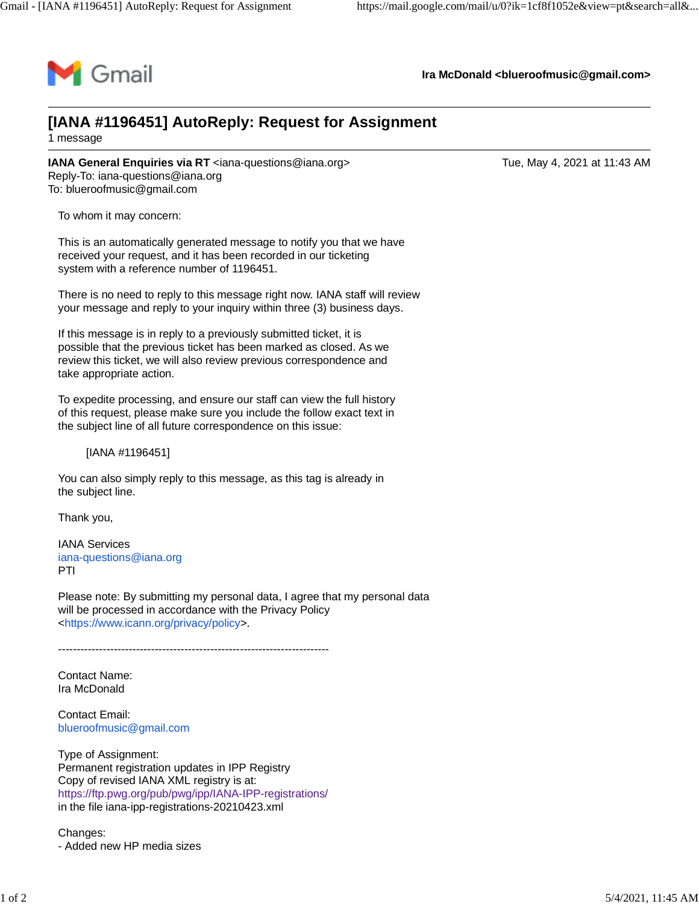

**Ira McDonald [<blueroofmusic@gmail.com](mailto:blueroofmusic@gmail.com)>**

## **[IANA #1196451] AutoReply: Request for Assignment** 1 message

**IANA General Enquiries via RT** [<iana-questions@iana.org>](mailto:iana-questions@iana.org) Tue, May 4, 2021 at 11:43 AM Reply-To: [iana-questions@iana.org](mailto:iana-questions@iana.org) To: [blueroofmusic@gmail.com](mailto:blueroofmusic@gmail.com)

To whom it may concern:

This is an automatically generated message to notify you that we have received your request, and it has been recorded in our ticketing system with a reference number of 1196451.

There is no need to reply to this message right now. IANA staff will review your message and reply to your inquiry within three (3) business days.

If this message is in reply to a previously submitted ticket, it is possible that the previous ticket has been marked as closed. As we review this ticket, we will also review previous correspondence and take appropriate action.

To expedite processing, and ensure our staff can view the full history of this request, please make sure you include the follow exact text in the subject line of all future correspondence on this issue:

[IANA #1196451]

You can also simply reply to this message, as this tag is already in the subject line.

Thank you,

IANA Services [iana-questions@iana.org](mailto:iana-questions@iana.org) PTI

Please note: By submitting my personal data, I agree that my personal data will be processed in accordance with the Privacy Policy <[https://www.icann.org/privacy/policy>](https://www.icann.org/privacy/policy).

-------------------------------------------------------------------------

Contact Name: Ira McDonald

Contact Email: [blueroofmusic@gmail.com](mailto:blueroofmusic@gmail.com)

Type of Assignment: Permanent registration updates in IPP Registry Copy of revised IANA XML registry is at: <https://ftp.pwg.org/pub/pwg/ipp/IANA-IPP-registrations/> in the file iana-ipp-registrations-20210423.xml

Changes: - Added new HP media sizes